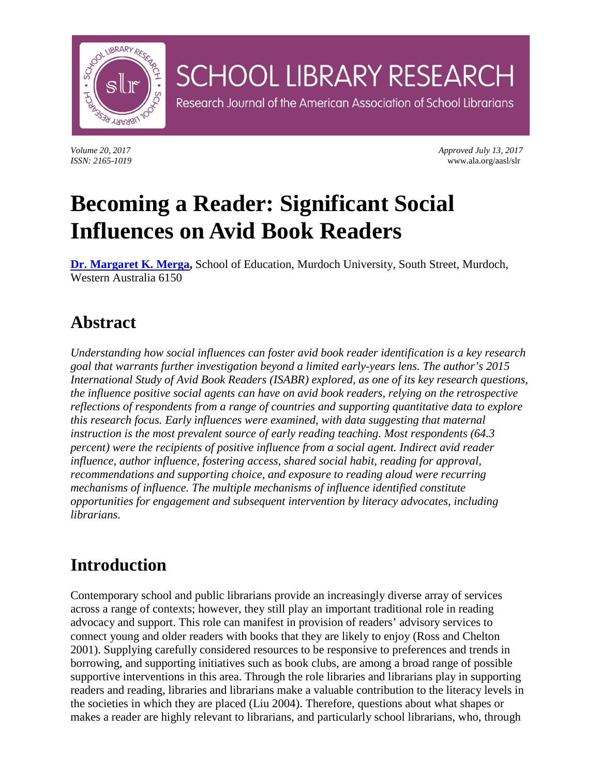

*Volume 20, 2017 Approved July 13, 2017 ISSN: 2165-1019* www.ala.org/aasl/slr

# **Becoming a Reader: Significant Social Influences on Avid Book Readers**

**[Dr. Margaret K. Merga,](mailto:M.Merga@murdoch.edu.au)** School of Education, Murdoch University, South Street, Murdoch, Western Australia 6150

**SCHOOL LIBRARY RESEARCH** 

Research Journal of the American Association of School Librarians

### **Abstract**

*Understanding how social influences can foster avid book reader identification is a key research goal that warrants further investigation beyond a limited early-years lens. The author's 2015 International Study of Avid Book Readers (ISABR) explored, as one of its key research questions, the influence positive social agents can have on avid book readers, relying on the retrospective reflections of respondents from a range of countries and supporting quantitative data to explore this research focus. Early influences were examined, with data suggesting that maternal instruction is the most prevalent source of early reading teaching. Most respondents (64.3 percent) were the recipients of positive influence from a social agent. Indirect avid reader influence, author influence, fostering access, shared social habit, reading for approval, recommendations and supporting choice, and exposure to reading aloud were recurring mechanisms of influence. The multiple mechanisms of influence identified constitute opportunities for engagement and subsequent intervention by literacy advocates, including librarians.*

# **Introduction**

Contemporary school and public librarians provide an increasingly diverse array of services across a range of contexts; however, they still play an important traditional role in reading advocacy and support. This role can manifest in provision of readers' advisory services to connect young and older readers with books that they are likely to enjoy (Ross and Chelton 2001). Supplying carefully considered resources to be responsive to preferences and trends in borrowing, and supporting initiatives such as book clubs, are among a broad range of possible supportive interventions in this area. Through the role libraries and librarians play in supporting readers and reading, libraries and librarians make a valuable contribution to the literacy levels in the societies in which they are placed (Liu 2004). Therefore, questions about what shapes or makes a reader are highly relevant to librarians, and particularly school librarians, who, through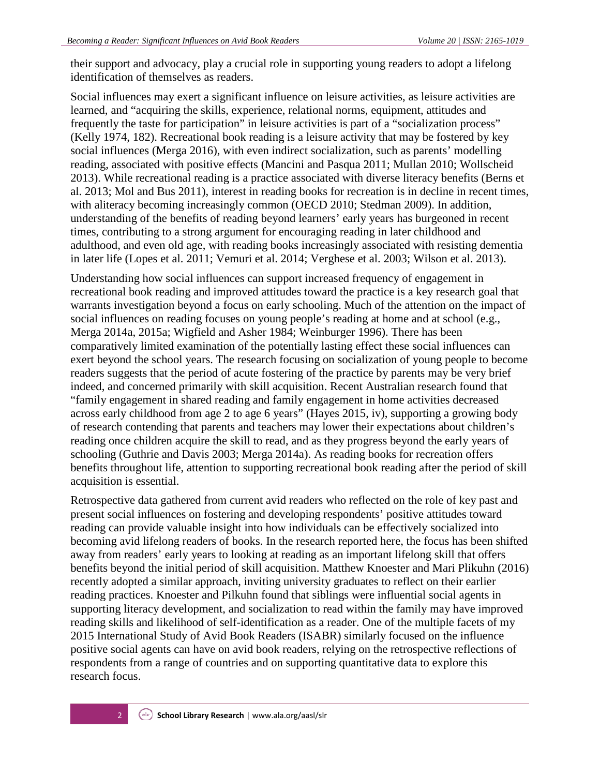their support and advocacy, play a crucial role in supporting young readers to adopt a lifelong identification of themselves as readers.

Social influences may exert a significant influence on leisure activities, as leisure activities are learned, and "acquiring the skills, experience, relational norms, equipment, attitudes and frequently the taste for participation" in leisure activities is part of a "socialization process" (Kelly 1974, 182). Recreational book reading is a leisure activity that may be fostered by key social influences (Merga 2016), with even indirect socialization, such as parents' modelling reading, associated with positive effects (Mancini and Pasqua 2011; Mullan 2010; Wollscheid 2013). While recreational reading is a practice associated with diverse literacy benefits (Berns et al. 2013; Mol and Bus 2011), interest in reading books for recreation is in decline in recent times, with aliteracy becoming increasingly common (OECD 2010; Stedman 2009). In addition, understanding of the benefits of reading beyond learners' early years has burgeoned in recent times, contributing to a strong argument for encouraging reading in later childhood and adulthood, and even old age, with reading books increasingly associated with resisting dementia in later life (Lopes et al. 2011; Vemuri et al. 2014; Verghese et al. 2003; Wilson et al. 2013).

Understanding how social influences can support increased frequency of engagement in recreational book reading and improved attitudes toward the practice is a key research goal that warrants investigation beyond a focus on early schooling. Much of the attention on the impact of social influences on reading focuses on young people's reading at home and at school (e.g., Merga 2014a, 2015a; Wigfield and Asher 1984; Weinburger 1996). There has been comparatively limited examination of the potentially lasting effect these social influences can exert beyond the school years. The research focusing on socialization of young people to become readers suggests that the period of acute fostering of the practice by parents may be very brief indeed, and concerned primarily with skill acquisition. Recent Australian research found that "family engagement in shared reading and family engagement in home activities decreased across early childhood from age 2 to age 6 years" (Hayes 2015, iv), supporting a growing body of research contending that parents and teachers may lower their expectations about children's reading once children acquire the skill to read, and as they progress beyond the early years of schooling (Guthrie and Davis 2003; Merga 2014a). As reading books for recreation offers benefits throughout life, attention to supporting recreational book reading after the period of skill acquisition is essential.

Retrospective data gathered from current avid readers who reflected on the role of key past and present social influences on fostering and developing respondents' positive attitudes toward reading can provide valuable insight into how individuals can be effectively socialized into becoming avid lifelong readers of books. In the research reported here, the focus has been shifted away from readers' early years to looking at reading as an important lifelong skill that offers benefits beyond the initial period of skill acquisition. Matthew Knoester and Mari Plikuhn (2016) recently adopted a similar approach, inviting university graduates to reflect on their earlier reading practices. Knoester and Pilkuhn found that siblings were influential social agents in supporting literacy development, and socialization to read within the family may have improved reading skills and likelihood of self-identification as a reader. One of the multiple facets of my 2015 International Study of Avid Book Readers (ISABR) similarly focused on the influence positive social agents can have on avid book readers, relying on the retrospective reflections of respondents from a range of countries and on supporting quantitative data to explore this research focus.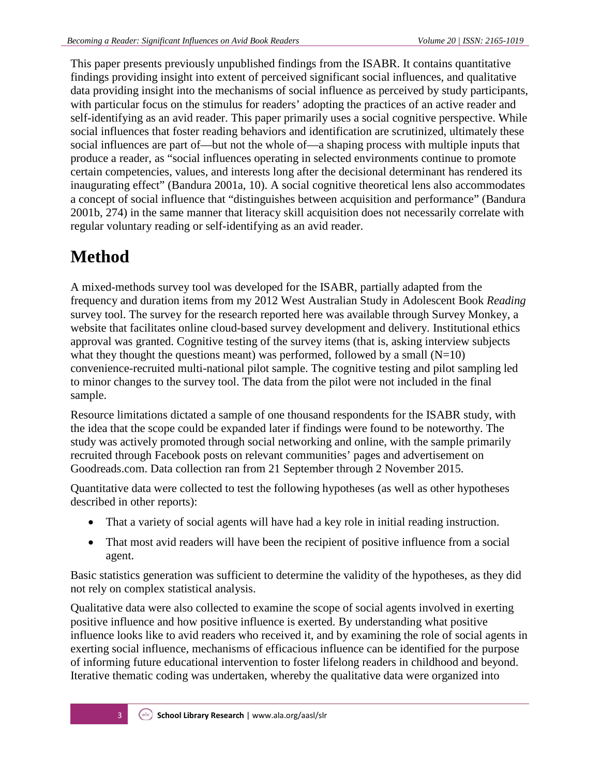This paper presents previously unpublished findings from the ISABR. It contains quantitative findings providing insight into extent of perceived significant social influences, and qualitative data providing insight into the mechanisms of social influence as perceived by study participants, with particular focus on the stimulus for readers' adopting the practices of an active reader and self-identifying as an avid reader. This paper primarily uses a social cognitive perspective. While social influences that foster reading behaviors and identification are scrutinized, ultimately these social influences are part of—but not the whole of—a shaping process with multiple inputs that produce a reader, as "social influences operating in selected environments continue to promote certain competencies, values, and interests long after the decisional determinant has rendered its inaugurating effect" (Bandura 2001a, 10). A social cognitive theoretical lens also accommodates a concept of social influence that "distinguishes between acquisition and performance" (Bandura 2001b, 274) in the same manner that literacy skill acquisition does not necessarily correlate with regular voluntary reading or self-identifying as an avid reader.

# **Method**

A mixed-methods survey tool was developed for the ISABR, partially adapted from the frequency and duration items from my 2012 West Australian Study in Adolescent Book *Reading*  survey tool. The survey for the research reported here was available through Survey Monkey, a website that facilitates online cloud-based survey development and delivery. Institutional ethics approval was granted. Cognitive testing of the survey items (that is, asking interview subjects what they thought the questions meant) was performed, followed by a small  $(N=10)$ convenience-recruited multi-national pilot sample. The cognitive testing and pilot sampling led to minor changes to the survey tool. The data from the pilot were not included in the final sample.

Resource limitations dictated a sample of one thousand respondents for the ISABR study, with the idea that the scope could be expanded later if findings were found to be noteworthy. The study was actively promoted through social networking and online, with the sample primarily recruited through Facebook posts on relevant communities' pages and advertisement on Goodreads.com. Data collection ran from 21 September through 2 November 2015.

Quantitative data were collected to test the following hypotheses (as well as other hypotheses described in other reports):

- That a variety of social agents will have had a key role in initial reading instruction.
- That most avid readers will have been the recipient of positive influence from a social agent.

Basic statistics generation was sufficient to determine the validity of the hypotheses, as they did not rely on complex statistical analysis.

Qualitative data were also collected to examine the scope of social agents involved in exerting positive influence and how positive influence is exerted. By understanding what positive influence looks like to avid readers who received it, and by examining the role of social agents in exerting social influence, mechanisms of efficacious influence can be identified for the purpose of informing future educational intervention to foster lifelong readers in childhood and beyond. Iterative thematic coding was undertaken, whereby the qualitative data were organized into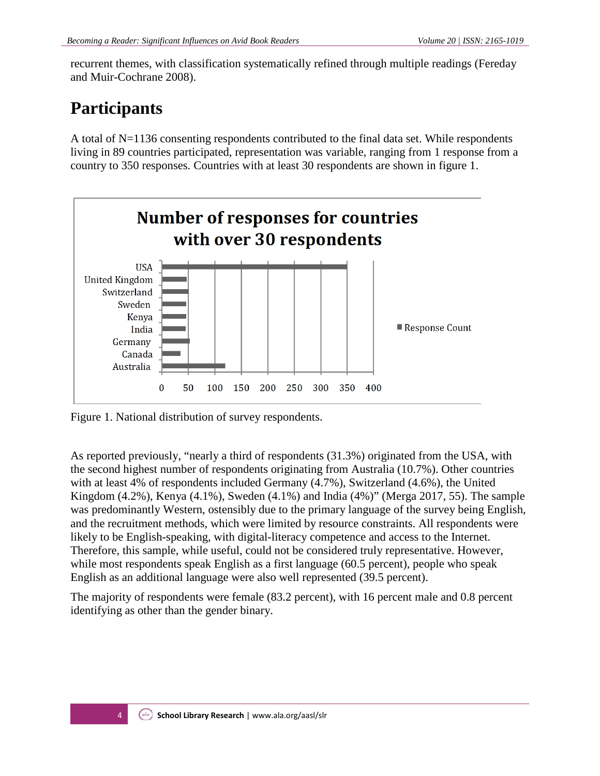recurrent themes, with classification systematically refined through multiple readings (Fereday and Muir-Cochrane 2008).

# **Participants**

A total of N=1136 consenting respondents contributed to the final data set. While respondents living in 89 countries participated, representation was variable, ranging from 1 response from a country to 350 responses. Countries with at least 30 respondents are shown in figure 1.



Figure 1. National distribution of survey respondents.

As reported previously, "nearly a third of respondents (31.3%) originated from the USA, with the second highest number of respondents originating from Australia (10.7%). Other countries with at least 4% of respondents included Germany (4.7%), Switzerland (4.6%), the United Kingdom (4.2%), Kenya (4.1%), Sweden (4.1%) and India (4%)" (Merga 2017, 55). The sample was predominantly Western, ostensibly due to the primary language of the survey being English, and the recruitment methods, which were limited by resource constraints. All respondents were likely to be English-speaking, with digital-literacy competence and access to the Internet. Therefore, this sample, while useful, could not be considered truly representative. However, while most respondents speak English as a first language (60.5 percent), people who speak English as an additional language were also well represented (39.5 percent).

The majority of respondents were female (83.2 percent), with 16 percent male and 0.8 percent identifying as other than the gender binary.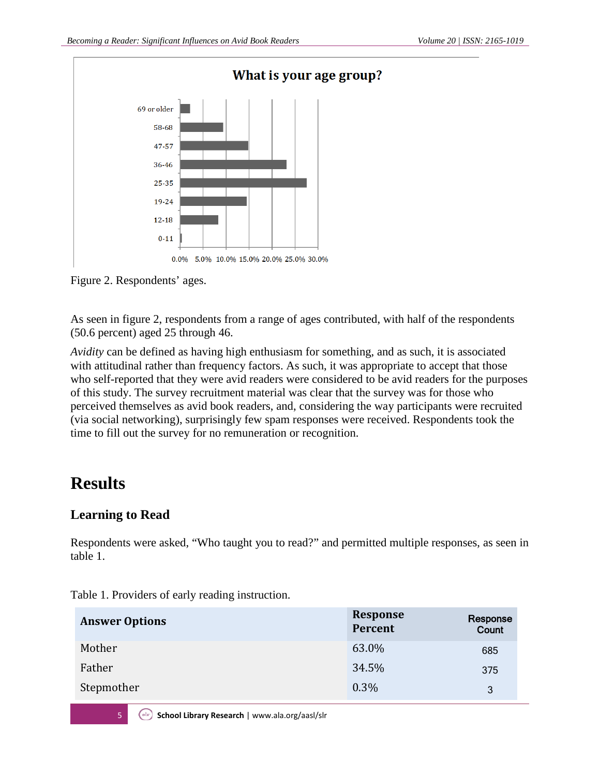

Figure 2. Respondents' ages.

As seen in figure 2, respondents from a range of ages contributed, with half of the respondents (50.6 percent) aged 25 through 46.

*Avidity* can be defined as having high enthusiasm for something, and as such, it is associated with attitudinal rather than frequency factors. As such, it was appropriate to accept that those who self-reported that they were avid readers were considered to be avid readers for the purposes of this study. The survey recruitment material was clear that the survey was for those who perceived themselves as avid book readers, and, considering the way participants were recruited (via social networking), surprisingly few spam responses were received. Respondents took the time to fill out the survey for no remuneration or recognition.

### **Results**

### **Learning to Read**

Respondents were asked, "Who taught you to read?" and permitted multiple responses, as seen in table 1.

| <b>Answer Options</b> | <b>Response</b><br>Percent | Response<br>Count |
|-----------------------|----------------------------|-------------------|
| Mother                | 63.0%                      | 685               |
| Father                | 34.5%                      | 375               |
| Stepmother            | $0.3\%$                    | 3                 |

Table 1. Providers of early reading instruction.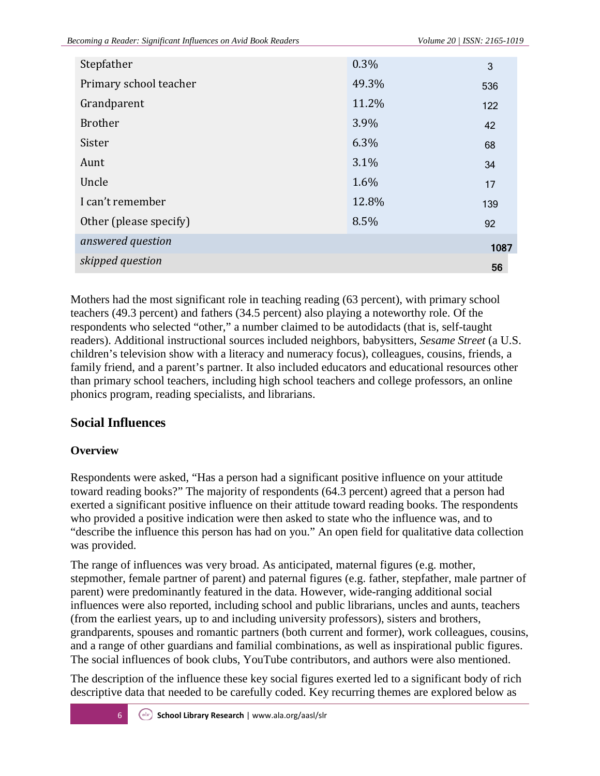| Stepfather             | 0.3%  | 3    |
|------------------------|-------|------|
| Primary school teacher | 49.3% | 536  |
| Grandparent            | 11.2% | 122  |
| <b>Brother</b>         | 3.9%  | 42   |
| Sister                 | 6.3%  | 68   |
| Aunt                   | 3.1%  | 34   |
| Uncle                  | 1.6%  | 17   |
| I can't remember       | 12.8% | 139  |
| Other (please specify) | 8.5%  | 92   |
| answered question      |       | 1087 |
| skipped question       |       | 56   |

Mothers had the most significant role in teaching reading (63 percent), with primary school teachers (49.3 percent) and fathers (34.5 percent) also playing a noteworthy role. Of the respondents who selected "other," a number claimed to be autodidacts (that is, self-taught readers). Additional instructional sources included neighbors, babysitters, *Sesame Street* (a U.S. children's television show with a literacy and numeracy focus), colleagues, cousins, friends, a family friend, and a parent's partner. It also included educators and educational resources other than primary school teachers, including high school teachers and college professors, an online phonics program, reading specialists, and librarians.

### **Social Influences**

### **Overview**

Respondents were asked, "Has a person had a significant positive influence on your attitude toward reading books?" The majority of respondents (64.3 percent) agreed that a person had exerted a significant positive influence on their attitude toward reading books. The respondents who provided a positive indication were then asked to state who the influence was, and to "describe the influence this person has had on you." An open field for qualitative data collection was provided.

The range of influences was very broad. As anticipated, maternal figures (e.g. mother, stepmother, female partner of parent) and paternal figures (e.g. father, stepfather, male partner of parent) were predominantly featured in the data. However, wide-ranging additional social influences were also reported, including school and public librarians, uncles and aunts, teachers (from the earliest years, up to and including university professors), sisters and brothers, grandparents, spouses and romantic partners (both current and former), work colleagues, cousins, and a range of other guardians and familial combinations, as well as inspirational public figures. The social influences of book clubs, YouTube contributors, and authors were also mentioned.

The description of the influence these key social figures exerted led to a significant body of rich descriptive data that needed to be carefully coded. Key recurring themes are explored below as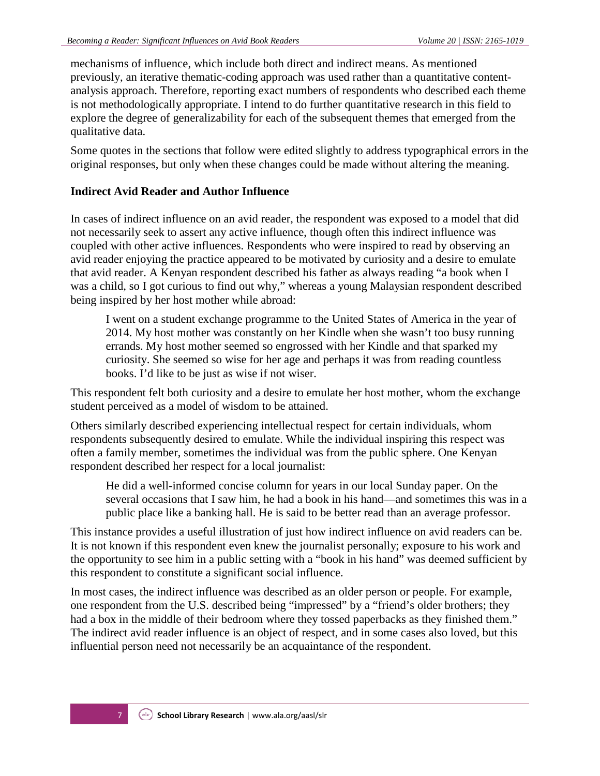mechanisms of influence, which include both direct and indirect means. As mentioned previously, an iterative thematic-coding approach was used rather than a quantitative contentanalysis approach. Therefore, reporting exact numbers of respondents who described each theme is not methodologically appropriate. I intend to do further quantitative research in this field to explore the degree of generalizability for each of the subsequent themes that emerged from the qualitative data.

Some quotes in the sections that follow were edited slightly to address typographical errors in the original responses, but only when these changes could be made without altering the meaning.

#### **Indirect Avid Reader and Author Influence**

In cases of indirect influence on an avid reader, the respondent was exposed to a model that did not necessarily seek to assert any active influence, though often this indirect influence was coupled with other active influences. Respondents who were inspired to read by observing an avid reader enjoying the practice appeared to be motivated by curiosity and a desire to emulate that avid reader. A Kenyan respondent described his father as always reading "a book when I was a child, so I got curious to find out why," whereas a young Malaysian respondent described being inspired by her host mother while abroad:

I went on a student exchange programme to the United States of America in the year of 2014. My host mother was constantly on her Kindle when she wasn't too busy running errands. My host mother seemed so engrossed with her Kindle and that sparked my curiosity. She seemed so wise for her age and perhaps it was from reading countless books. I'd like to be just as wise if not wiser.

This respondent felt both curiosity and a desire to emulate her host mother, whom the exchange student perceived as a model of wisdom to be attained.

Others similarly described experiencing intellectual respect for certain individuals, whom respondents subsequently desired to emulate. While the individual inspiring this respect was often a family member, sometimes the individual was from the public sphere. One Kenyan respondent described her respect for a local journalist:

He did a well-informed concise column for years in our local Sunday paper. On the several occasions that I saw him, he had a book in his hand—and sometimes this was in a public place like a banking hall. He is said to be better read than an average professor.

This instance provides a useful illustration of just how indirect influence on avid readers can be. It is not known if this respondent even knew the journalist personally; exposure to his work and the opportunity to see him in a public setting with a "book in his hand" was deemed sufficient by this respondent to constitute a significant social influence.

In most cases, the indirect influence was described as an older person or people. For example, one respondent from the U.S. described being "impressed" by a "friend's older brothers; they had a box in the middle of their bedroom where they tossed paperbacks as they finished them." The indirect avid reader influence is an object of respect, and in some cases also loved, but this influential person need not necessarily be an acquaintance of the respondent.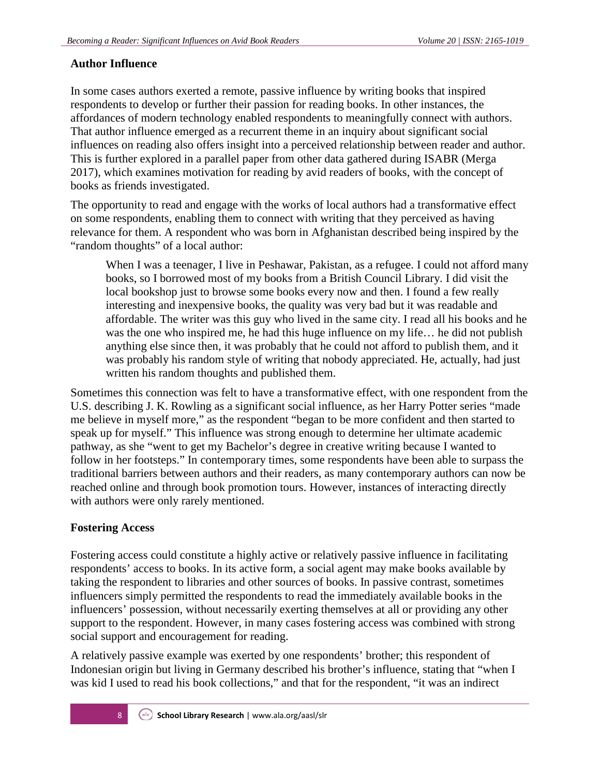#### **Author Influence**

In some cases authors exerted a remote, passive influence by writing books that inspired respondents to develop or further their passion for reading books. In other instances, the affordances of modern technology enabled respondents to meaningfully connect with authors. That author influence emerged as a recurrent theme in an inquiry about significant social influences on reading also offers insight into a perceived relationship between reader and author. This is further explored in a parallel paper from other data gathered during ISABR (Merga 2017), which examines motivation for reading by avid readers of books, with the concept of books as friends investigated.

The opportunity to read and engage with the works of local authors had a transformative effect on some respondents, enabling them to connect with writing that they perceived as having relevance for them. A respondent who was born in Afghanistan described being inspired by the "random thoughts" of a local author:

When I was a teenager, I live in Peshawar, Pakistan, as a refugee. I could not afford many books, so I borrowed most of my books from a British Council Library. I did visit the local bookshop just to browse some books every now and then. I found a few really interesting and inexpensive books, the quality was very bad but it was readable and affordable. The writer was this guy who lived in the same city. I read all his books and he was the one who inspired me, he had this huge influence on my life… he did not publish anything else since then, it was probably that he could not afford to publish them, and it was probably his random style of writing that nobody appreciated. He, actually, had just written his random thoughts and published them.

Sometimes this connection was felt to have a transformative effect, with one respondent from the U.S. describing J. K. Rowling as a significant social influence, as her Harry Potter series "made me believe in myself more," as the respondent "began to be more confident and then started to speak up for myself." This influence was strong enough to determine her ultimate academic pathway, as she "went to get my Bachelor's degree in creative writing because I wanted to follow in her footsteps." In contemporary times, some respondents have been able to surpass the traditional barriers between authors and their readers, as many contemporary authors can now be reached online and through book promotion tours. However, instances of interacting directly with authors were only rarely mentioned.

#### **Fostering Access**

Fostering access could constitute a highly active or relatively passive influence in facilitating respondents' access to books. In its active form, a social agent may make books available by taking the respondent to libraries and other sources of books. In passive contrast, sometimes influencers simply permitted the respondents to read the immediately available books in the influencers' possession, without necessarily exerting themselves at all or providing any other support to the respondent. However, in many cases fostering access was combined with strong social support and encouragement for reading.

A relatively passive example was exerted by one respondents' brother; this respondent of Indonesian origin but living in Germany described his brother's influence, stating that "when I was kid I used to read his book collections," and that for the respondent, "it was an indirect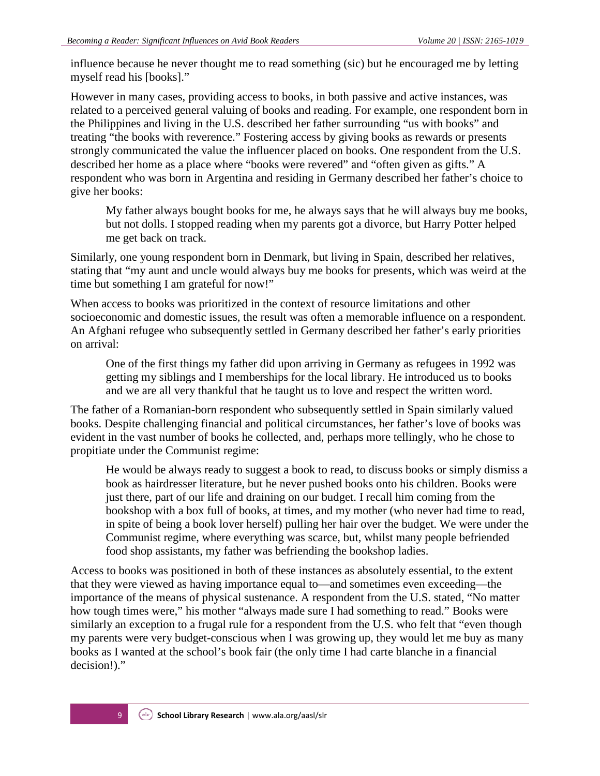influence because he never thought me to read something (sic) but he encouraged me by letting myself read his [books]."

However in many cases, providing access to books, in both passive and active instances, was related to a perceived general valuing of books and reading. For example, one respondent born in the Philippines and living in the U.S. described her father surrounding "us with books" and treating "the books with reverence." Fostering access by giving books as rewards or presents strongly communicated the value the influencer placed on books. One respondent from the U.S. described her home as a place where "books were revered" and "often given as gifts." A respondent who was born in Argentina and residing in Germany described her father's choice to give her books:

My father always bought books for me, he always says that he will always buy me books, but not dolls. I stopped reading when my parents got a divorce, but Harry Potter helped me get back on track.

Similarly, one young respondent born in Denmark, but living in Spain, described her relatives, stating that "my aunt and uncle would always buy me books for presents, which was weird at the time but something I am grateful for now!"

When access to books was prioritized in the context of resource limitations and other socioeconomic and domestic issues, the result was often a memorable influence on a respondent. An Afghani refugee who subsequently settled in Germany described her father's early priorities on arrival:

One of the first things my father did upon arriving in Germany as refugees in 1992 was getting my siblings and I memberships for the local library. He introduced us to books and we are all very thankful that he taught us to love and respect the written word.

The father of a Romanian-born respondent who subsequently settled in Spain similarly valued books. Despite challenging financial and political circumstances, her father's love of books was evident in the vast number of books he collected, and, perhaps more tellingly, who he chose to propitiate under the Communist regime:

He would be always ready to suggest a book to read, to discuss books or simply dismiss a book as hairdresser literature, but he never pushed books onto his children. Books were just there, part of our life and draining on our budget. I recall him coming from the bookshop with a box full of books, at times, and my mother (who never had time to read, in spite of being a book lover herself) pulling her hair over the budget. We were under the Communist regime, where everything was scarce, but, whilst many people befriended food shop assistants, my father was befriending the bookshop ladies.

Access to books was positioned in both of these instances as absolutely essential, to the extent that they were viewed as having importance equal to—and sometimes even exceeding—the importance of the means of physical sustenance. A respondent from the U.S. stated, "No matter how tough times were," his mother "always made sure I had something to read." Books were similarly an exception to a frugal rule for a respondent from the U.S. who felt that "even though my parents were very budget-conscious when I was growing up, they would let me buy as many books as I wanted at the school's book fair (the only time I had carte blanche in a financial decision!)."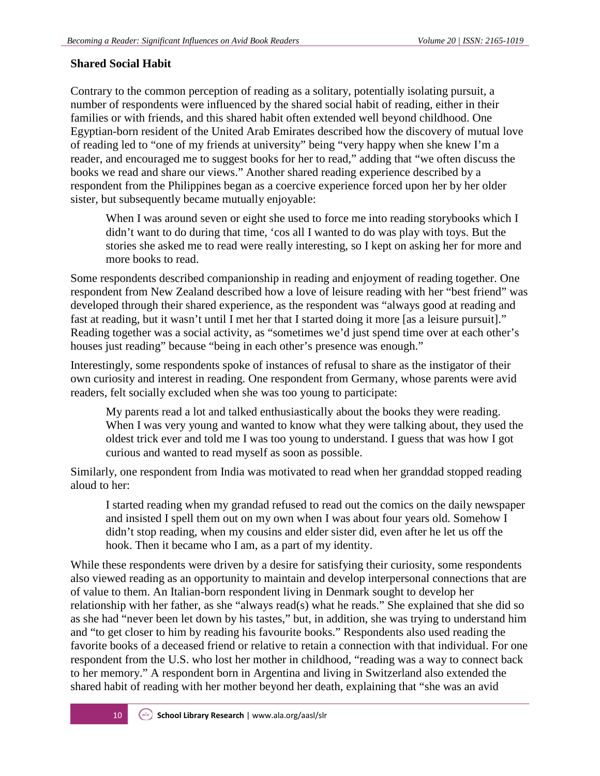#### **Shared Social Habit**

Contrary to the common perception of reading as a solitary, potentially isolating pursuit, a number of respondents were influenced by the shared social habit of reading, either in their families or with friends, and this shared habit often extended well beyond childhood. One Egyptian-born resident of the United Arab Emirates described how the discovery of mutual love of reading led to "one of my friends at university" being "very happy when she knew I'm a reader, and encouraged me to suggest books for her to read," adding that "we often discuss the books we read and share our views." Another shared reading experience described by a respondent from the Philippines began as a coercive experience forced upon her by her older sister, but subsequently became mutually enjoyable:

When I was around seven or eight she used to force me into reading storybooks which I didn't want to do during that time, 'cos all I wanted to do was play with toys. But the stories she asked me to read were really interesting, so I kept on asking her for more and more books to read.

Some respondents described companionship in reading and enjoyment of reading together. One respondent from New Zealand described how a love of leisure reading with her "best friend" was developed through their shared experience, as the respondent was "always good at reading and fast at reading, but it wasn't until I met her that I started doing it more [as a leisure pursuit]." Reading together was a social activity, as "sometimes we'd just spend time over at each other's houses just reading" because "being in each other's presence was enough."

Interestingly, some respondents spoke of instances of refusal to share as the instigator of their own curiosity and interest in reading. One respondent from Germany, whose parents were avid readers, felt socially excluded when she was too young to participate:

My parents read a lot and talked enthusiastically about the books they were reading. When I was very young and wanted to know what they were talking about, they used the oldest trick ever and told me I was too young to understand. I guess that was how I got curious and wanted to read myself as soon as possible.

Similarly, one respondent from India was motivated to read when her granddad stopped reading aloud to her:

I started reading when my grandad refused to read out the comics on the daily newspaper and insisted I spell them out on my own when I was about four years old. Somehow I didn't stop reading, when my cousins and elder sister did, even after he let us off the hook. Then it became who I am, as a part of my identity.

While these respondents were driven by a desire for satisfying their curiosity, some respondents also viewed reading as an opportunity to maintain and develop interpersonal connections that are of value to them. An Italian-born respondent living in Denmark sought to develop her relationship with her father, as she "always read(s) what he reads." She explained that she did so as she had "never been let down by his tastes," but, in addition, she was trying to understand him and "to get closer to him by reading his favourite books." Respondents also used reading the favorite books of a deceased friend or relative to retain a connection with that individual. For one respondent from the U.S. who lost her mother in childhood, "reading was a way to connect back to her memory." A respondent born in Argentina and living in Switzerland also extended the shared habit of reading with her mother beyond her death, explaining that "she was an avid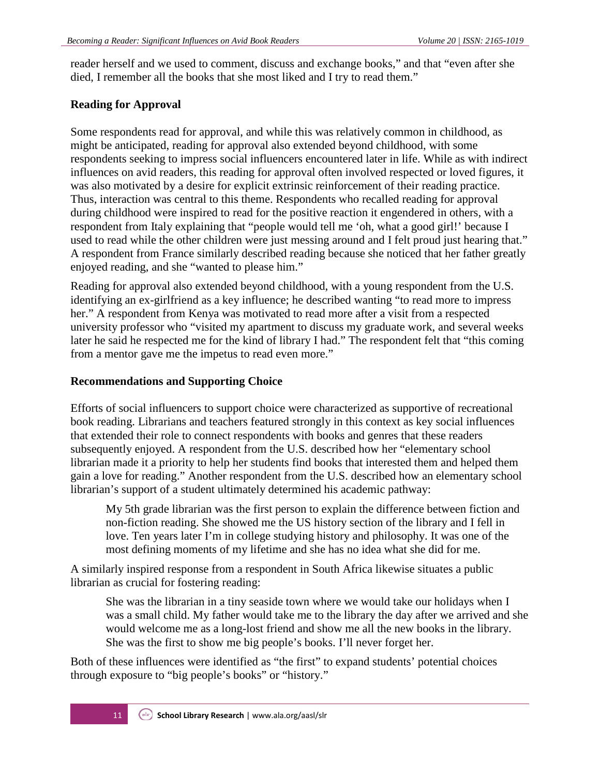reader herself and we used to comment, discuss and exchange books," and that "even after she died, I remember all the books that she most liked and I try to read them."

#### **Reading for Approval**

Some respondents read for approval, and while this was relatively common in childhood, as might be anticipated, reading for approval also extended beyond childhood, with some respondents seeking to impress social influencers encountered later in life. While as with indirect influences on avid readers, this reading for approval often involved respected or loved figures, it was also motivated by a desire for explicit extrinsic reinforcement of their reading practice. Thus, interaction was central to this theme. Respondents who recalled reading for approval during childhood were inspired to read for the positive reaction it engendered in others, with a respondent from Italy explaining that "people would tell me 'oh, what a good girl!' because I used to read while the other children were just messing around and I felt proud just hearing that." A respondent from France similarly described reading because she noticed that her father greatly enjoyed reading, and she "wanted to please him."

Reading for approval also extended beyond childhood, with a young respondent from the U.S. identifying an ex-girlfriend as a key influence; he described wanting "to read more to impress her." A respondent from Kenya was motivated to read more after a visit from a respected university professor who "visited my apartment to discuss my graduate work, and several weeks later he said he respected me for the kind of library I had." The respondent felt that "this coming from a mentor gave me the impetus to read even more."

#### **Recommendations and Supporting Choice**

Efforts of social influencers to support choice were characterized as supportive of recreational book reading. Librarians and teachers featured strongly in this context as key social influences that extended their role to connect respondents with books and genres that these readers subsequently enjoyed. A respondent from the U.S. described how her "elementary school librarian made it a priority to help her students find books that interested them and helped them gain a love for reading." Another respondent from the U.S. described how an elementary school librarian's support of a student ultimately determined his academic pathway:

My 5th grade librarian was the first person to explain the difference between fiction and non-fiction reading. She showed me the US history section of the library and I fell in love. Ten years later I'm in college studying history and philosophy. It was one of the most defining moments of my lifetime and she has no idea what she did for me.

A similarly inspired response from a respondent in South Africa likewise situates a public librarian as crucial for fostering reading:

She was the librarian in a tiny seaside town where we would take our holidays when I was a small child. My father would take me to the library the day after we arrived and she would welcome me as a long-lost friend and show me all the new books in the library. She was the first to show me big people's books. I'll never forget her.

Both of these influences were identified as "the first" to expand students' potential choices through exposure to "big people's books" or "history."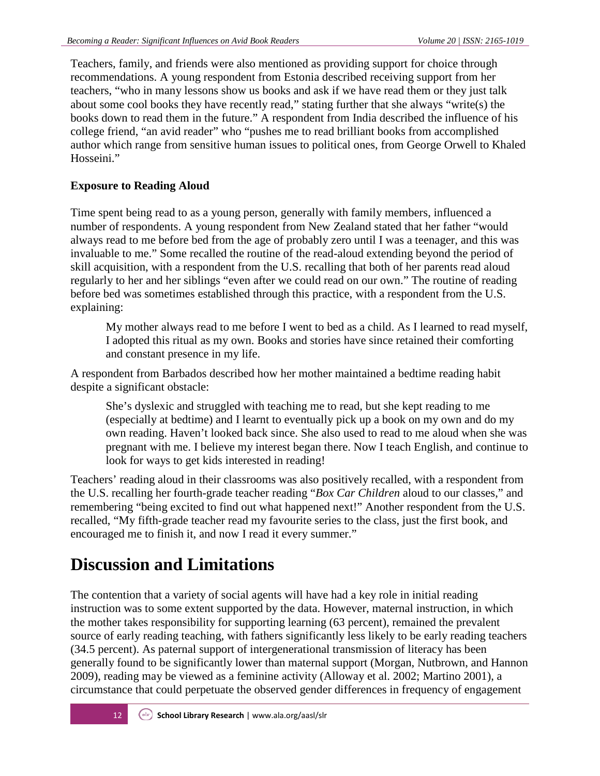Teachers, family, and friends were also mentioned as providing support for choice through recommendations. A young respondent from Estonia described receiving support from her teachers, "who in many lessons show us books and ask if we have read them or they just talk about some cool books they have recently read," stating further that she always "write(s) the books down to read them in the future." A respondent from India described the influence of his college friend, "an avid reader" who "pushes me to read brilliant books from accomplished author which range from sensitive human issues to political ones, from George Orwell to Khaled Hosseini."

### **Exposure to Reading Aloud**

Time spent being read to as a young person, generally with family members, influenced a number of respondents. A young respondent from New Zealand stated that her father "would always read to me before bed from the age of probably zero until I was a teenager, and this was invaluable to me." Some recalled the routine of the read-aloud extending beyond the period of skill acquisition, with a respondent from the U.S. recalling that both of her parents read aloud regularly to her and her siblings "even after we could read on our own." The routine of reading before bed was sometimes established through this practice, with a respondent from the U.S. explaining:

My mother always read to me before I went to bed as a child. As I learned to read myself, I adopted this ritual as my own. Books and stories have since retained their comforting and constant presence in my life.

A respondent from Barbados described how her mother maintained a bedtime reading habit despite a significant obstacle:

She's dyslexic and struggled with teaching me to read, but she kept reading to me (especially at bedtime) and I learnt to eventually pick up a book on my own and do my own reading. Haven't looked back since. She also used to read to me aloud when she was pregnant with me. I believe my interest began there. Now I teach English, and continue to look for ways to get kids interested in reading!

Teachers' reading aloud in their classrooms was also positively recalled, with a respondent from the U.S. recalling her fourth-grade teacher reading "*Box Car Children* aloud to our classes," and remembering "being excited to find out what happened next!" Another respondent from the U.S. recalled, "My fifth-grade teacher read my favourite series to the class, just the first book, and encouraged me to finish it, and now I read it every summer."

# **Discussion and Limitations**

The contention that a variety of social agents will have had a key role in initial reading instruction was to some extent supported by the data. However, maternal instruction, in which the mother takes responsibility for supporting learning (63 percent), remained the prevalent source of early reading teaching, with fathers significantly less likely to be early reading teachers (34.5 percent). As paternal support of intergenerational transmission of literacy has been generally found to be significantly lower than maternal support (Morgan, Nutbrown, and Hannon 2009), reading may be viewed as a feminine activity (Alloway et al. 2002; Martino 2001), a circumstance that could perpetuate the observed gender differences in frequency of engagement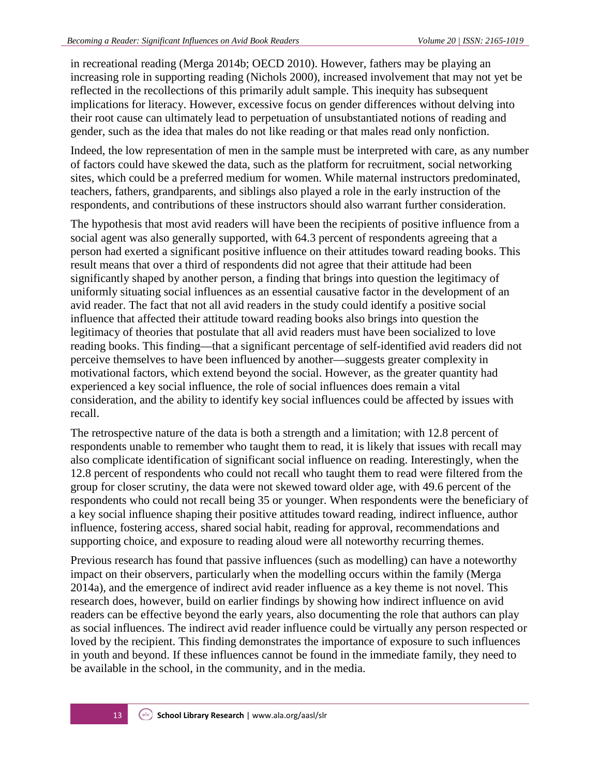in recreational reading (Merga 2014b; OECD 2010). However, fathers may be playing an increasing role in supporting reading (Nichols 2000), increased involvement that may not yet be reflected in the recollections of this primarily adult sample. This inequity has subsequent implications for literacy. However, excessive focus on gender differences without delving into their root cause can ultimately lead to perpetuation of unsubstantiated notions of reading and gender, such as the idea that males do not like reading or that males read only nonfiction.

Indeed, the low representation of men in the sample must be interpreted with care, as any number of factors could have skewed the data, such as the platform for recruitment, social networking sites, which could be a preferred medium for women. While maternal instructors predominated, teachers, fathers, grandparents, and siblings also played a role in the early instruction of the respondents, and contributions of these instructors should also warrant further consideration.

The hypothesis that most avid readers will have been the recipients of positive influence from a social agent was also generally supported, with 64.3 percent of respondents agreeing that a person had exerted a significant positive influence on their attitudes toward reading books. This result means that over a third of respondents did not agree that their attitude had been significantly shaped by another person, a finding that brings into question the legitimacy of uniformly situating social influences as an essential causative factor in the development of an avid reader. The fact that not all avid readers in the study could identify a positive social influence that affected their attitude toward reading books also brings into question the legitimacy of theories that postulate that all avid readers must have been socialized to love reading books. This finding—that a significant percentage of self-identified avid readers did not perceive themselves to have been influenced by another—suggests greater complexity in motivational factors, which extend beyond the social. However, as the greater quantity had experienced a key social influence, the role of social influences does remain a vital consideration, and the ability to identify key social influences could be affected by issues with recall.

The retrospective nature of the data is both a strength and a limitation; with 12.8 percent of respondents unable to remember who taught them to read, it is likely that issues with recall may also complicate identification of significant social influence on reading. Interestingly, when the 12.8 percent of respondents who could not recall who taught them to read were filtered from the group for closer scrutiny, the data were not skewed toward older age, with 49.6 percent of the respondents who could not recall being 35 or younger. When respondents were the beneficiary of a key social influence shaping their positive attitudes toward reading, indirect influence, author influence, fostering access, shared social habit, reading for approval, recommendations and supporting choice, and exposure to reading aloud were all noteworthy recurring themes.

Previous research has found that passive influences (such as modelling) can have a noteworthy impact on their observers, particularly when the modelling occurs within the family (Merga 2014a), and the emergence of indirect avid reader influence as a key theme is not novel. This research does, however, build on earlier findings by showing how indirect influence on avid readers can be effective beyond the early years, also documenting the role that authors can play as social influences. The indirect avid reader influence could be virtually any person respected or loved by the recipient. This finding demonstrates the importance of exposure to such influences in youth and beyond. If these influences cannot be found in the immediate family, they need to be available in the school, in the community, and in the media.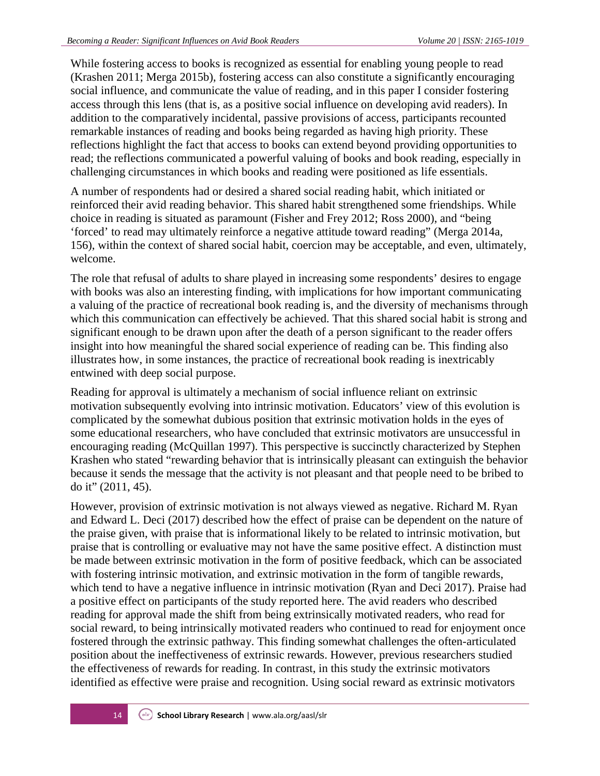While fostering access to books is recognized as essential for enabling young people to read (Krashen 2011; Merga 2015b), fostering access can also constitute a significantly encouraging social influence, and communicate the value of reading, and in this paper I consider fostering access through this lens (that is, as a positive social influence on developing avid readers). In addition to the comparatively incidental, passive provisions of access, participants recounted remarkable instances of reading and books being regarded as having high priority. These reflections highlight the fact that access to books can extend beyond providing opportunities to read; the reflections communicated a powerful valuing of books and book reading, especially in challenging circumstances in which books and reading were positioned as life essentials.

A number of respondents had or desired a shared social reading habit, which initiated or reinforced their avid reading behavior. This shared habit strengthened some friendships. While choice in reading is situated as paramount (Fisher and Frey 2012; Ross 2000), and "being 'forced' to read may ultimately reinforce a negative attitude toward reading" (Merga 2014a, 156), within the context of shared social habit, coercion may be acceptable, and even, ultimately, welcome.

The role that refusal of adults to share played in increasing some respondents' desires to engage with books was also an interesting finding, with implications for how important communicating a valuing of the practice of recreational book reading is, and the diversity of mechanisms through which this communication can effectively be achieved. That this shared social habit is strong and significant enough to be drawn upon after the death of a person significant to the reader offers insight into how meaningful the shared social experience of reading can be. This finding also illustrates how, in some instances, the practice of recreational book reading is inextricably entwined with deep social purpose.

Reading for approval is ultimately a mechanism of social influence reliant on extrinsic motivation subsequently evolving into intrinsic motivation. Educators' view of this evolution is complicated by the somewhat dubious position that extrinsic motivation holds in the eyes of some educational researchers, who have concluded that extrinsic motivators are unsuccessful in encouraging reading (McQuillan 1997). This perspective is succinctly characterized by Stephen Krashen who stated "rewarding behavior that is intrinsically pleasant can extinguish the behavior because it sends the message that the activity is not pleasant and that people need to be bribed to do it" (2011, 45).

However, provision of extrinsic motivation is not always viewed as negative. Richard M. Ryan and Edward L. Deci (2017) described how the effect of praise can be dependent on the nature of the praise given, with praise that is informational likely to be related to intrinsic motivation, but praise that is controlling or evaluative may not have the same positive effect. A distinction must be made between extrinsic motivation in the form of positive feedback, which can be associated with fostering intrinsic motivation, and extrinsic motivation in the form of tangible rewards, which tend to have a negative influence in intrinsic motivation (Ryan and Deci 2017). Praise had a positive effect on participants of the study reported here. The avid readers who described reading for approval made the shift from being extrinsically motivated readers, who read for social reward, to being intrinsically motivated readers who continued to read for enjoyment once fostered through the extrinsic pathway. This finding somewhat challenges the often-articulated position about the ineffectiveness of extrinsic rewards. However, previous researchers studied the effectiveness of rewards for reading. In contrast, in this study the extrinsic motivators identified as effective were praise and recognition. Using social reward as extrinsic motivators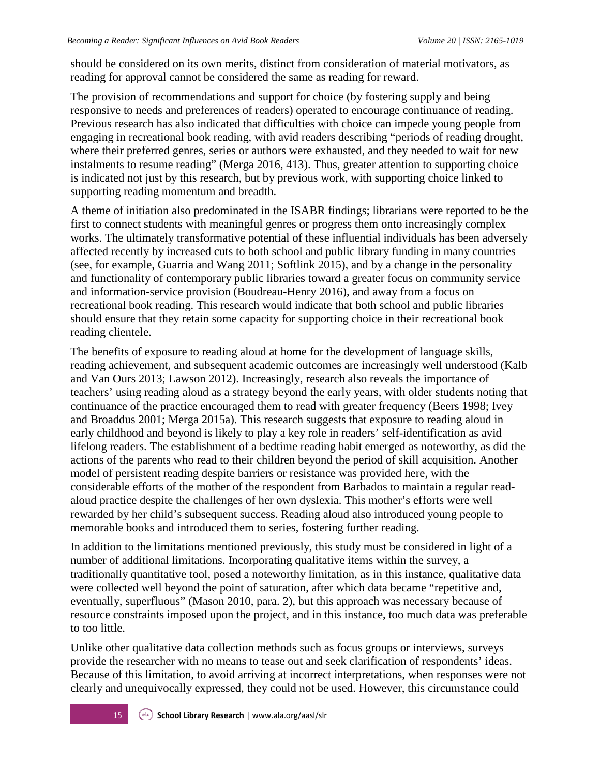should be considered on its own merits, distinct from consideration of material motivators, as reading for approval cannot be considered the same as reading for reward.

The provision of recommendations and support for choice (by fostering supply and being responsive to needs and preferences of readers) operated to encourage continuance of reading. Previous research has also indicated that difficulties with choice can impede young people from engaging in recreational book reading, with avid readers describing "periods of reading drought, where their preferred genres, series or authors were exhausted, and they needed to wait for new instalments to resume reading" (Merga 2016, 413). Thus, greater attention to supporting choice is indicated not just by this research, but by previous work, with supporting choice linked to supporting reading momentum and breadth.

A theme of initiation also predominated in the ISABR findings; librarians were reported to be the first to connect students with meaningful genres or progress them onto increasingly complex works. The ultimately transformative potential of these influential individuals has been adversely affected recently by increased cuts to both school and public library funding in many countries (see, for example, Guarria and Wang 2011; Softlink 2015), and by a change in the personality and functionality of contemporary public libraries toward a greater focus on community service and information-service provision (Boudreau-Henry 2016), and away from a focus on recreational book reading. This research would indicate that both school and public libraries should ensure that they retain some capacity for supporting choice in their recreational book reading clientele.

The benefits of exposure to reading aloud at home for the development of language skills, reading achievement, and subsequent academic outcomes are increasingly well understood (Kalb and Van Ours 2013; Lawson 2012). Increasingly, research also reveals the importance of teachers' using reading aloud as a strategy beyond the early years, with older students noting that continuance of the practice encouraged them to read with greater frequency (Beers 1998; Ivey and Broaddus 2001; Merga 2015a). This research suggests that exposure to reading aloud in early childhood and beyond is likely to play a key role in readers' self-identification as avid lifelong readers. The establishment of a bedtime reading habit emerged as noteworthy, as did the actions of the parents who read to their children beyond the period of skill acquisition. Another model of persistent reading despite barriers or resistance was provided here, with the considerable efforts of the mother of the respondent from Barbados to maintain a regular readaloud practice despite the challenges of her own dyslexia. This mother's efforts were well rewarded by her child's subsequent success. Reading aloud also introduced young people to memorable books and introduced them to series, fostering further reading.

In addition to the limitations mentioned previously, this study must be considered in light of a number of additional limitations. Incorporating qualitative items within the survey, a traditionally quantitative tool, posed a noteworthy limitation, as in this instance, qualitative data were collected well beyond the point of saturation, after which data became "repetitive and, eventually, superfluous" (Mason 2010, para. 2), but this approach was necessary because of resource constraints imposed upon the project, and in this instance, too much data was preferable to too little.

Unlike other qualitative data collection methods such as focus groups or interviews, surveys provide the researcher with no means to tease out and seek clarification of respondents' ideas. Because of this limitation, to avoid arriving at incorrect interpretations, when responses were not clearly and unequivocally expressed, they could not be used. However, this circumstance could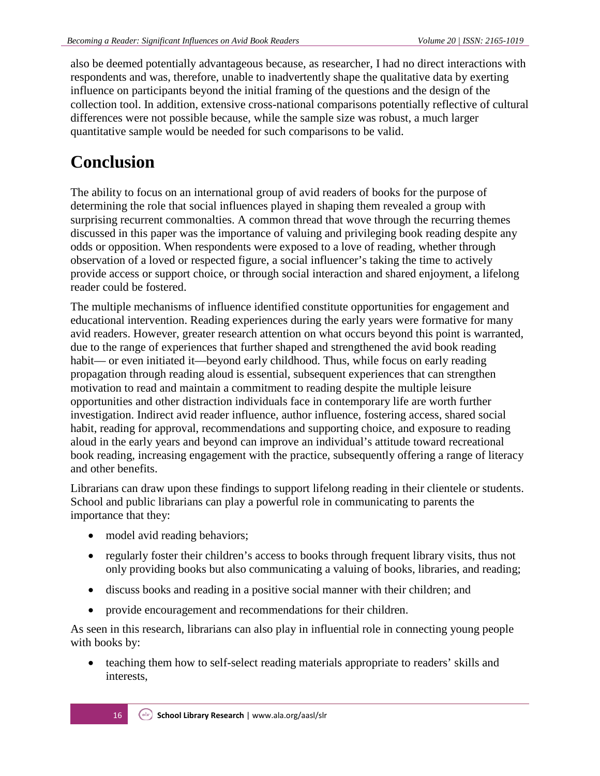also be deemed potentially advantageous because, as researcher, I had no direct interactions with respondents and was, therefore, unable to inadvertently shape the qualitative data by exerting influence on participants beyond the initial framing of the questions and the design of the collection tool. In addition, extensive cross-national comparisons potentially reflective of cultural differences were not possible because, while the sample size was robust, a much larger quantitative sample would be needed for such comparisons to be valid.

# **Conclusion**

The ability to focus on an international group of avid readers of books for the purpose of determining the role that social influences played in shaping them revealed a group with surprising recurrent commonalties. A common thread that wove through the recurring themes discussed in this paper was the importance of valuing and privileging book reading despite any odds or opposition. When respondents were exposed to a love of reading, whether through observation of a loved or respected figure, a social influencer's taking the time to actively provide access or support choice, or through social interaction and shared enjoyment, a lifelong reader could be fostered.

The multiple mechanisms of influence identified constitute opportunities for engagement and educational intervention. Reading experiences during the early years were formative for many avid readers. However, greater research attention on what occurs beyond this point is warranted, due to the range of experiences that further shaped and strengthened the avid book reading habit— or even initiated it—beyond early childhood. Thus, while focus on early reading propagation through reading aloud is essential, subsequent experiences that can strengthen motivation to read and maintain a commitment to reading despite the multiple leisure opportunities and other distraction individuals face in contemporary life are worth further investigation. Indirect avid reader influence, author influence, fostering access, shared social habit, reading for approval, recommendations and supporting choice, and exposure to reading aloud in the early years and beyond can improve an individual's attitude toward recreational book reading, increasing engagement with the practice, subsequently offering a range of literacy and other benefits.

Librarians can draw upon these findings to support lifelong reading in their clientele or students. School and public librarians can play a powerful role in communicating to parents the importance that they:

- model avid reading behaviors;
- regularly foster their children's access to books through frequent library visits, thus not only providing books but also communicating a valuing of books, libraries, and reading;
- discuss books and reading in a positive social manner with their children; and
- provide encouragement and recommendations for their children.

As seen in this research, librarians can also play in influential role in connecting young people with books by:

• teaching them how to self-select reading materials appropriate to readers' skills and interests,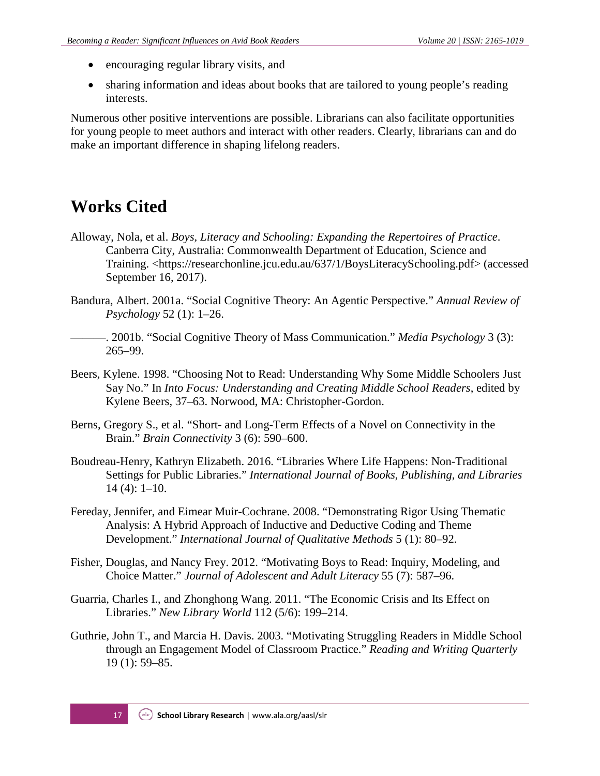- encouraging regular library visits, and
- sharing information and ideas about books that are tailored to young people's reading interests.

Numerous other positive interventions are possible. Librarians can also facilitate opportunities for young people to meet authors and interact with other readers. Clearly, librarians can and do make an important difference in shaping lifelong readers.

### **Works Cited**

- Alloway, Nola, et al. *Boys, Literacy and Schooling: Expanding the Repertoires of Practice*. Canberra City, Australia: Commonwealth Department of Education, Science and Training. [<https://researchonline.jcu.edu.au/637/1/BoysLiteracySchooling.pdf>](https://researchonline.jcu.edu.au/637/1/BoysLiteracySchooling.pdf) (accessed September 16, 2017).
- Bandura, Albert. 2001a. "Social Cognitive Theory: An Agentic Perspective." *Annual Review of Psychology* 52 (1): 1–26.
	- ———. 2001b. "Social Cognitive Theory of Mass Communication." *Media Psychology* 3 (3): 265–99.
- Beers, Kylene. 1998. "Choosing Not to Read: Understanding Why Some Middle Schoolers Just Say No." In *Into Focus: Understanding and Creating Middle School Readers*, edited by Kylene Beers, 37–63. Norwood, MA: Christopher-Gordon.
- Berns, Gregory S., et al. "Short- and Long-Term Effects of a Novel on Connectivity in the Brain." *Brain Connectivity* 3 (6): 590–600.
- Boudreau-Henry, Kathryn Elizabeth. 2016. "Libraries Where Life Happens: Non-Traditional Settings for Public Libraries." *International Journal of Books, Publishing, and Libraries* 14 (4): 1–10.
- Fereday, Jennifer, and Eimear Muir-Cochrane. 2008. "Demonstrating Rigor Using Thematic Analysis: A Hybrid Approach of Inductive and Deductive Coding and Theme Development." *International Journal of Qualitative Methods* 5 (1): 80–92.
- Fisher, Douglas, and Nancy Frey. 2012. "Motivating Boys to Read: Inquiry, Modeling, and Choice Matter." *Journal of Adolescent and Adult Literacy* 55 (7): 587–96.
- Guarria, Charles I., and Zhonghong Wang. 2011. "The Economic Crisis and Its Effect on Libraries." *New Library World* 112 (5/6): 199–214.
- Guthrie, John T., and Marcia H. Davis. 2003. "Motivating Struggling Readers in Middle School through an Engagement Model of Classroom Practice." *Reading and Writing Quarterly* 19 (1): 59–85.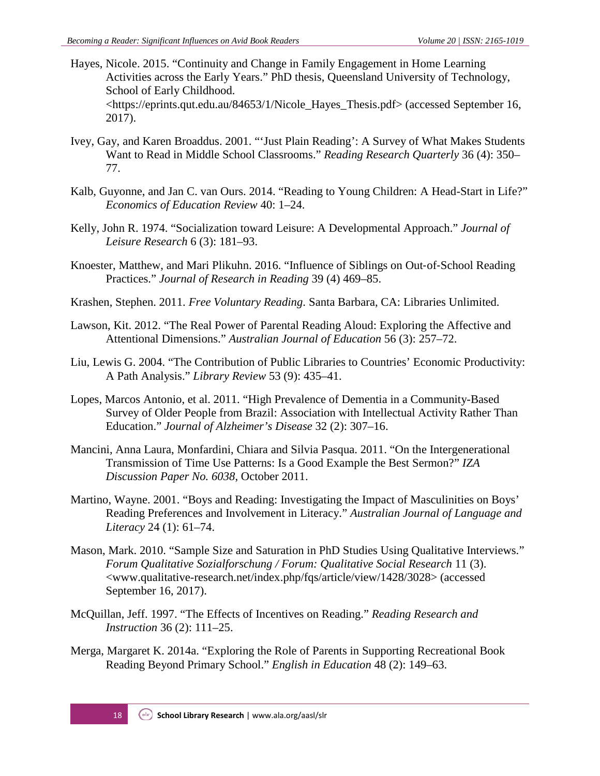- Hayes, Nicole. 2015. "Continuity and Change in Family Engagement in Home Learning Activities across the Early Years." PhD thesis, Queensland University of Technology, School of Early Childhood. [<https://eprints.qut.edu.au/84653/1/Nicole\\_Hayes\\_Thesis.pdf>](https://eprints.qut.edu.au/84653/1/Nicole_Hayes_Thesis.pdf) (accessed September 16, 2017).
- Ivey, Gay, and Karen Broaddus. 2001. "'Just Plain Reading': A Survey of What Makes Students Want to Read in Middle School Classrooms." *Reading Research Quarterly* 36 (4): 350– 77.
- Kalb, Guyonne, and Jan C. van Ours. 2014. "Reading to Young Children: A Head-Start in Life?" *Economics of Education Review* 40: 1–24.
- Kelly, John R. 1974. "Socialization toward Leisure: A Developmental Approach." *Journal of Leisure Research* 6 (3): 181–93.
- Knoester, Matthew, and Mari Plikuhn. 2016. "Influence of Siblings on Out‐of‐School Reading Practices." *Journal of Research in Reading* 39 (4) 469–85.
- Krashen, Stephen. 2011. *Free Voluntary Reading*. Santa Barbara, CA: Libraries Unlimited.
- Lawson, Kit. 2012. "The Real Power of Parental Reading Aloud: Exploring the Affective and Attentional Dimensions." *Australian Journal of Education* 56 (3): 257–72.
- Liu, Lewis G. 2004. "The Contribution of Public Libraries to Countries' Economic Productivity: A Path Analysis." *Library Review* 53 (9): 435–41.
- Lopes, Marcos Antonio, et al. 2011. "High Prevalence of Dementia in a Community-Based Survey of Older People from Brazil: Association with Intellectual Activity Rather Than Education." *Journal of Alzheimer's Disease* 32 (2): 307–16.
- Mancini, Anna Laura, Monfardini, Chiara and Silvia Pasqua. 2011. "On the Intergenerational Transmission of Time Use Patterns: Is a Good Example the Best Sermon?" *IZA Discussion Paper No. 6038*, October 2011.
- Martino, Wayne. 2001. "Boys and Reading: Investigating the Impact of Masculinities on Boys' Reading Preferences and Involvement in Literacy." *Australian Journal of Language and Literacy* 24 (1): 61–74.
- Mason, Mark. 2010. "Sample Size and Saturation in PhD Studies Using Qualitative Interviews." *Forum Qualitative Sozialforschung / Forum: Qualitative Social Research* 11 (3). [<www.qualitative-research.net/index.php/fqs/article/view/1428/3028>](http://www.qualitative-research.net/index.php/fqs/article/view/1428/3028) (accessed September 16, 2017).
- McQuillan, Jeff. 1997. "The Effects of Incentives on Reading." *Reading Research and Instruction* 36 (2): 111–25.
- Merga, Margaret K. 2014a. "Exploring the Role of Parents in Supporting Recreational Book Reading Beyond Primary School." *English in Education* 48 (2): 149–63.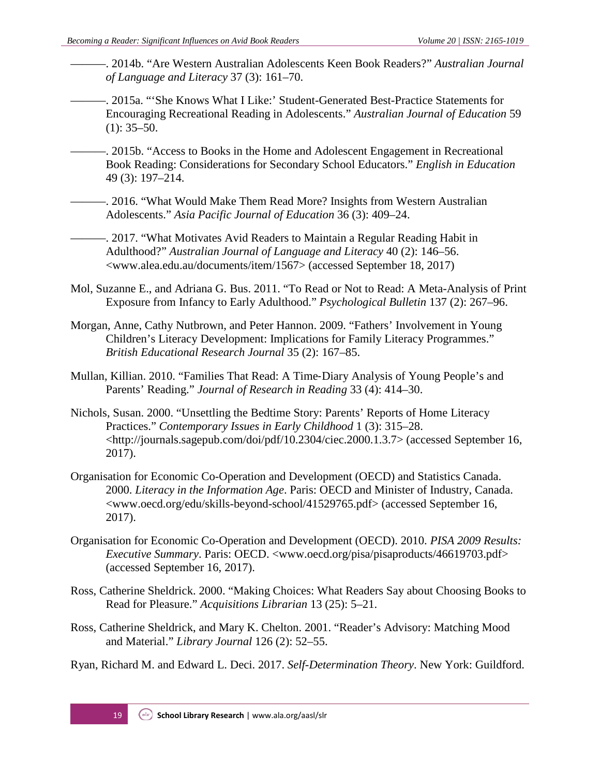- ———. 2014b. "Are Western Australian Adolescents Keen Book Readers?" *Australian Journal of Language and Literacy* 37 (3): 161–70.
- ———. 2015a. "'She Knows What I Like:' Student-Generated Best-Practice Statements for Encouraging Recreational Reading in Adolescents." *Australian Journal of Education* 59  $(1): 35-50.$
- ———. 2015b. "Access to Books in the Home and Adolescent Engagement in Recreational Book Reading: Considerations for Secondary School Educators." *English in Education* 49 (3): 197–214.
- ———. 2016. "What Would Make Them Read More? Insights from Western Australian Adolescents." *Asia Pacific Journal of Education* 36 (3): 409–24.

———. 2017. "What Motivates Avid Readers to Maintain a Regular Reading Habit in Adulthood?" *Australian Journal of Language and Literacy* 40 (2): 146–56. [<www.alea.edu.au/documents/item/1567>](https://www.alea.edu.au/documents/item/1567) (accessed September 18, 2017)

- Mol, Suzanne E., and Adriana G. Bus. 2011. "To Read or Not to Read: A Meta-Analysis of Print Exposure from Infancy to Early Adulthood." *Psychological Bulletin* 137 (2): 267–96.
- Morgan, Anne, Cathy Nutbrown, and Peter Hannon. 2009. "Fathers' Involvement in Young Children's Literacy Development: Implications for Family Literacy Programmes." *British Educational Research Journal* 35 (2): 167–85.
- Mullan, Killian. 2010. "Families That Read: A Time‐Diary Analysis of Young People's and Parents' Reading." *Journal of Research in Reading* 33 (4): 414–30.
- Nichols, Susan. 2000. "Unsettling the Bedtime Story: Parents' Reports of Home Literacy Practices." *Contemporary Issues in Early Childhood* 1 (3): 315–28. [<http://journals.sagepub.com/doi/pdf/10.2304/ciec.2000.1.3.7>](http://journals.sagepub.com/doi/pdf/10.2304/ciec.2000.1.3.7) (accessed September 16, 2017).
- Organisation for Economic Co-Operation and Development (OECD) and Statistics Canada. 2000. *Literacy in the Information Age*. Paris: OECD and Minister of Industry, Canada. [<www.oecd.org/edu/skills-beyond-school/41529765.pdf>](https://www.oecd.org/edu/skills-beyond-school/41529765.pdf) (accessed September 16, 2017).
- Organisation for Economic Co-Operation and Development (OECD). 2010. *PISA 2009 Results: Executive Summary*. Paris: OECD. [<www.oecd.org/pisa/pisaproducts/46619703.pdf>](https://www.oecd.org/pisa/pisaproducts/46619703.pdf) (accessed September 16, 2017).
- Ross, Catherine Sheldrick. 2000. "Making Choices: What Readers Say about Choosing Books to Read for Pleasure." *Acquisitions Librarian* 13 (25): 5–21.
- Ross, Catherine Sheldrick, and Mary K. Chelton. 2001. "Reader's Advisory: Matching Mood and Material." *Library Journal* 126 (2): 52–55.

Ryan, Richard M. and Edward L. Deci. 2017. *Self-Determination Theory*. New York: Guildford.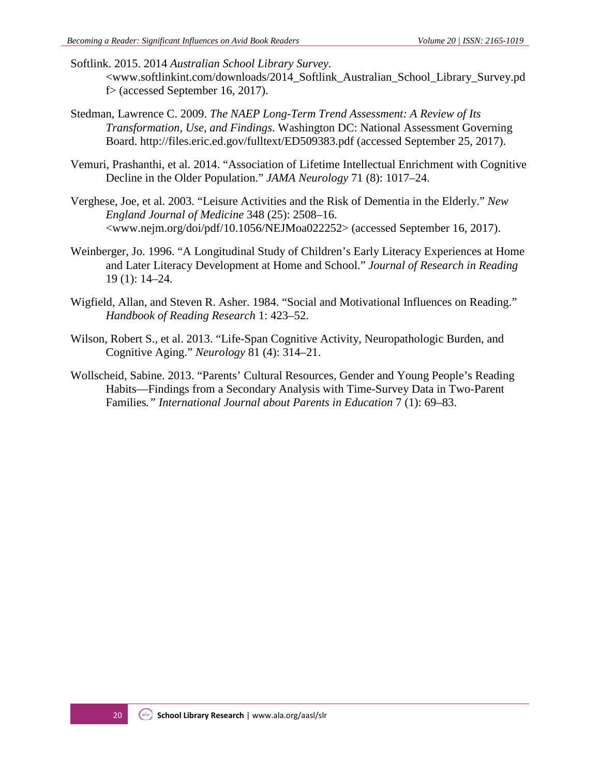- Softlink. 2015. 2014 *Australian School Library Survey*. [<www.softlinkint.com/downloads/2014\\_Softlink\\_Australian\\_School\\_Library\\_Survey.pd](https://www.softlinkint.com/downloads/2014_Softlink_Australian_School_Library_Survey.pdf) [f>](https://www.softlinkint.com/downloads/2014_Softlink_Australian_School_Library_Survey.pdf) (accessed September 16, 2017).
- Stedman, Lawrence C. 2009. *The NAEP Long-Term Trend Assessment: A Review of Its Transformation, Use, and Findings*. Washington DC: National Assessment Governing Board.<http://files.eric.ed.gov/fulltext/ED509383.pdf> (accessed September 25, 2017).
- Vemuri, Prashanthi, et al. 2014. "Association of Lifetime Intellectual Enrichment with Cognitive Decline in the Older Population." *JAMA Neurology* 71 (8): 1017–24.
- Verghese, Joe, et al. 2003. "Leisure Activities and the Risk of Dementia in the Elderly." *New England Journal of Medicine* 348 (25): 2508–16. [<www.nejm.org/doi/pdf/10.1056/NEJMoa022252>](http://www.nejm.org/doi/pdf/10.1056/NEJMoa022252) (accessed September 16, 2017).
- Weinberger, Jo. 1996. "A Longitudinal Study of Children's Early Literacy Experiences at Home and Later Literacy Development at Home and School." *Journal of Research in Reading* 19 (1): 14–24.
- Wigfield, Allan, and Steven R. Asher. 1984. "Social and Motivational Influences on Reading." *Handbook of Reading Research* 1: 423–52.
- Wilson, Robert S., et al. 2013. "Life-Span Cognitive Activity, Neuropathologic Burden, and Cognitive Aging." *Neurology* 81 (4): 314–21.
- Wollscheid, Sabine. 2013. "Parents' Cultural Resources, Gender and Young People's Reading Habits—Findings from a Secondary Analysis with Time-Survey Data in Two-Parent Families*." International Journal about Parents in Education* 7 (1): 69–83.